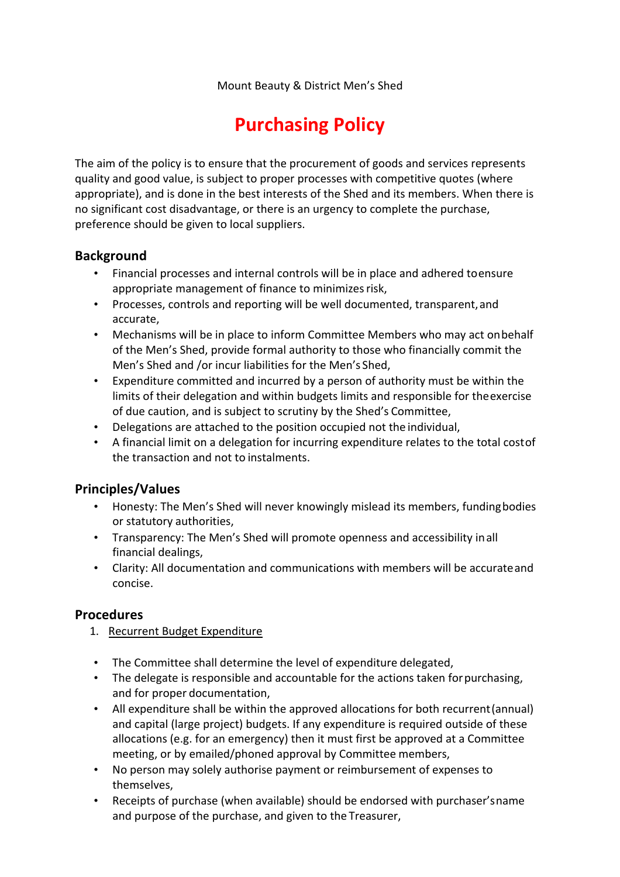# **Purchasing Policy**

The aim of the policy is to ensure that the procurement of goods and services represents quality and good value, is subject to proper processes with competitive quotes (where appropriate), and is done in the best interests of the Shed and its members. When there is no significant cost disadvantage, or there is an urgency to complete the purchase, preference should be given to local suppliers.

### **Background**

- Financial processes and internal controls will be in place and adhered to ensure appropriate management of finance to minimizes risk,
- Processes, controls and reporting will be well documented, transparent, and accurate,
- Mechanisms will be in place to inform Committee Members who may act on behalf of the Men's Shed, provide formal authority to those who financially commit the Men's Shed and /or incur liabilities for the Men's Shed,
- Expenditure committed and incurred by a person of authority must be within the limits of their delegation and within budgets limits and responsible for the exercise of due caution, and is subject to scrutiny by the Shed's Committee,
- Delegations are attached to the position occupied not the individual,
- A financial limit on a delegation for incurring expenditure relates to the total cost of the transaction and not to instalments.

## **Principles/Values**

- Honesty: The Men's Shed will never knowingly mislead its members, funding bodies or statutory authorities,
- Transparency: The Men's Shed will promote openness and accessibility in all financial dealings,
- Clarity: All documentation and communications with members will be accurate and concise.

#### **Procedures**

- 1. Recurrent Budget Expenditure
- The Committee shall determine the level of expenditure delegated,
- The delegate is responsible and accountable for the actions taken for purchasing, and for proper documentation,
- All expenditure shall be within the approved allocations for both recurrent (annual) and capital (large project) budgets. If any expenditure is required outside of these allocations (e.g. for an emergency) then it must first be approved at a Committee meeting, or by emailed/phoned approval by Committee members,
- No person may solely authorise payment or reimbursement of expenses to themselves,
- Receipts of purchase (when available) should be endorsed with purchaser's name and purpose of the purchase, and given to the Treasurer,